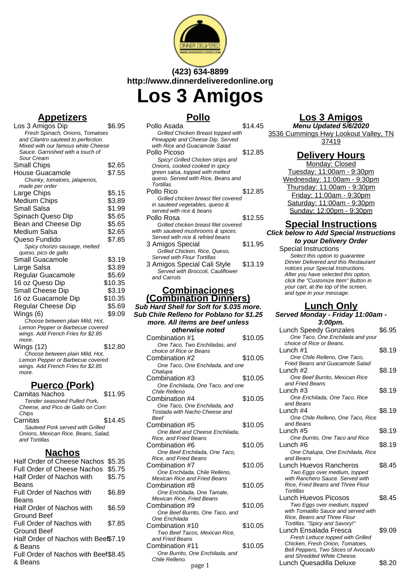

# **(423) 634-8899 http://www.dinnerdeliveredonline.org Los 3 Amigos**

# **Appetizers**

| Los 3 Amigos Dip                                                    | \$6.95  |
|---------------------------------------------------------------------|---------|
| Fresh Spinach, Onions, Tomatoes                                     |         |
| and Cilantro sauteed to perfection.                                 |         |
| Mixed with our famous white Cheese                                  |         |
| Sauce, Garnished with a touch of                                    |         |
| Sour Cream                                                          |         |
| <b>Small Chips</b>                                                  | \$2.65  |
| House Guacamole                                                     | \$7.55  |
| Chunky, tomatoes, jalapenos,                                        |         |
| made per order                                                      |         |
| Large Chips                                                         | \$5.15  |
| <b>Medium Chips</b>                                                 | \$3.89  |
| <b>Small Salsa</b>                                                  | \$1.99  |
| Spinach Queso Dip                                                   | \$5.65  |
| Bean and Cheese Dip                                                 | \$5.65  |
| Medium Salsa                                                        | \$2.65  |
| Queso Fundido                                                       | \$7.85  |
| Spicy chorizo sausage, melted                                       |         |
| queso, pico de gallo                                                |         |
| Small Guacamole                                                     | \$3.19  |
| Large Salsa                                                         | \$3.89  |
| Regular Guacamole                                                   | \$5.69  |
| 16 oz Queso Dip                                                     | \$10.35 |
| Small Cheese Dip                                                    | \$3.19  |
| 16 oz Guacamole Dip                                                 | \$10.35 |
| Regular Cheese Dip                                                  | \$5.69  |
| Wings (6)                                                           | \$9.09  |
| Choose between plain Mild, Hot,                                     |         |
| Lemon Pepper or Barbecue covered                                    |         |
| wings. Add French Fries for \$2.85                                  |         |
| more.                                                               |         |
| Wings (12)                                                          | \$12.80 |
| Choose between plain Mild, Hot,<br>Lemon Pepper or Barbecue covered |         |
| wings. Add French Fries for \$2.85                                  |         |
| more.                                                               |         |
|                                                                     |         |
| ۱۰ امر<br>מו                                                        |         |

#### **Puerco (Pork)** Carnitas Nachos \$11.95 Tender seasoned Pulled Pork, Cheese, and Pico de Gallo on Corn **Chips** Carnitas \$14.45 Sauteed Pork served with Grilled Onions, Mexican Rice, Beans, Salad, and Tortillas

# **Nachos**

| \$5.75<br>Half Order of Nachos with<br>Beans<br>Full Order of Nachos with<br>\$6.89<br>Beans<br>Half Order of Nachos with<br>\$6.59<br>Ground Beef<br>Full Order of Nachos with<br>\$7.85<br>Ground Beef<br>Half Order of Nachos with Beef\$7.19<br>& Beans<br>Full Order of Nachos with Beef\$8.45<br>& Beans | Half Order of Cheese Nachos<br><b>Full Order of Cheese Nachos</b> | \$5.35<br>\$5.75 |
|----------------------------------------------------------------------------------------------------------------------------------------------------------------------------------------------------------------------------------------------------------------------------------------------------------------|-------------------------------------------------------------------|------------------|
|                                                                                                                                                                                                                                                                                                                |                                                                   |                  |
|                                                                                                                                                                                                                                                                                                                |                                                                   |                  |
|                                                                                                                                                                                                                                                                                                                |                                                                   |                  |
|                                                                                                                                                                                                                                                                                                                |                                                                   |                  |
|                                                                                                                                                                                                                                                                                                                |                                                                   |                  |
|                                                                                                                                                                                                                                                                                                                |                                                                   |                  |

# **Pollo**

| Pollo Asada                                                         | \$14.45 |
|---------------------------------------------------------------------|---------|
| Grilled Chicken Breast topped with                                  |         |
| Pineapple and Cheese Dip. Served                                    |         |
| with Rice and Guacamole Salad                                       |         |
| Pollo Picoso                                                        | \$12.85 |
| Spicy! Grilled Chicken strips and                                   |         |
| Onions, cooked cooked in spicy                                      |         |
| green salsa, topped with melted                                     |         |
| queso. Served with Rice, Beans and                                  |         |
| Tortillas                                                           |         |
| Pollo Rico                                                          | \$12.85 |
| Grilled chicken breast filet covered                                |         |
| in sauteed vegetables, queso &                                      |         |
| served with rice & beans                                            |         |
| Pollo Rosa                                                          | \$12.55 |
| Grilled chicken breast filet covered                                |         |
| with sauteed mushrooms & spices.                                    |         |
| Served with rice & refried beans                                    |         |
| 3 Amigos Special                                                    | \$11.95 |
| Grilled Chicken, Rice, Queso,<br><b>Served with Flour Tortillas</b> |         |
|                                                                     |         |
| 3 Amigos Special Cali Style                                         | \$13.19 |
| Served with Broccoli, Cauliflower<br>and Carrots                    |         |
|                                                                     |         |
|                                                                     |         |

#### **Combinaciones (Combination Dinners)**

#### **Sub Hard Shell for Soft for \$.035 more. Sub Chile Relleno for Poblano for \$1.25 more. All items are beef unless otherwise noted** Combination #1 \$10.05 One Taco, Two Enchiladas, and choice of Rice or Beans Combination #2 \$10.05 One Taco, One Enchilada, and one **Chalupa** Combination #3 \$10.05 One Enchilada, One Taco, and one Chile Relleno Combination #4 \$10.05 One Taco, One Enchilada, and Tostada with Nacho Cheese and Beef

| Combination #5                   | \$10.05 |
|----------------------------------|---------|
| One Beef and Cheese Enchilada,   |         |
| Rice, and Fried Beans            |         |
| Combination #6                   | \$10.05 |
| One Beef Enchilada, One Taco,    |         |
| Rice, and Fried Beans            |         |
| Combination #7                   | \$10.05 |
| One Enchilada, Chile Relleno,    |         |
| Mexican Rice and Fried Beans     |         |
| Combination #8                   | \$10.05 |
| One Enchilada, One Tamale,       |         |
| <b>Mexican Rice, Fried Beans</b> |         |
| Combination #9                   | \$10.05 |
| One Beef Burrito, One Taco, and  |         |
| One Enchilada                    |         |
| Combination #10                  | \$10.05 |
| Two Beef Tacos, Mexican Rice,    |         |
| and Fried Beans                  |         |
| Combination #11                  | \$10.05 |

One Burrito, One Enchilada, and

Chile Relleno.

# **Los 3 Amigos**

**Menu Updated 5/6/2020** 3536 Cummings Hwy Lookout Valley, TN 37419

# **Delivery Hours**

Monday: Closed Tuesday: 11:00am - 9:30pm Wednesday: 11:00am - 9:30pm Thursday: 11:00am - 9:30pm Friday: 11:00am - 9:30pm Saturday: 11:00am - 9:30pm Sunday: 12:00pm - 9:30pm

# **Special Instructions**

**Click below to Add Special Instructions to your Delivery Order**

Special Instructions Select this option to quarantee Dinner Delivered and this Restaurant notices your Special Instructions. After you have selected this option, click the "Customize Item" Button in your cart, at the top of the screen, and type in your message.

#### **Lunch Only Served Monday - Friday**

| טגוע וטו טוומועט דיטו י   |         | Jerved Monday - Filday Tr. ovani               |        |
|---------------------------|---------|------------------------------------------------|--------|
| <i>ns are beef unless</i> |         | 3:00pm.                                        |        |
| wise noted                |         | <b>Lunch Speedy Gonzales</b>                   | \$6.95 |
|                           | \$10.05 | One Taco, One Enchilada and your               |        |
| o Enchiladas, and         |         | choice of Rice or Beans.                       |        |
| r Beans                   |         | Lunch $#1$                                     | \$8.19 |
| 2                         | \$10.05 | One Chile Relleno, One Taco,                   |        |
| ne Enchilada, and one     |         | <b>Fried Beans and Guacamole Salad</b>         |        |
|                           |         | Lunch #2                                       | \$8.19 |
| 3                         | \$10.05 | One Beef Burrito, Mexican Rice                 |        |
| a, One Taco, and one      |         | and Fried Beans                                |        |
|                           |         | Lunch #3                                       | \$8.19 |
| 4                         | \$10.05 | One Enchilada, One Taco, Rice                  |        |
| ne Enchilada, and         |         | and Beans                                      |        |
| cho Cheese and            |         | Lunch #4                                       | \$8.19 |
|                           |         | One Chile Relleno, One Taco, Rice              |        |
| 5                         | \$10.05 | and Beans                                      |        |
| Cheese Enchilada,         |         | Lunch $#5$                                     | \$8.19 |
| Beans                     |         | One Burrito, One Taco and Rice                 |        |
| 6                         | \$10.05 | Lunch #6                                       | \$8.19 |
| hilada, One Taco,         |         | One Chalupa, One Enchilada, Rice               |        |
| Beans                     |         | and Beans                                      |        |
| 7                         | \$10.05 | Lunch Huevos Rancheros                         | \$8.45 |
| a. Chile Relleno.         |         | Two Eggs over medium, topped                   |        |
| าd Fried Beans            |         | with Ranchero Sauce, Served with               |        |
| 8                         | \$10.05 | Rice, Fried Beans and Three Flour<br>Tortillas |        |
| a. One Tamale.            |         | Lunch Huevos Picosos                           | \$8.45 |
| ried Beans                |         | Two Eggs over medium, topped                   |        |
| 9                         | \$10.05 | with Tomatillo Sauce and served with           |        |
| rito, One Taco, and       |         | Rice, Beans and Three Flour                    |        |
| 10                        | \$10.05 | Tortillas. "Spicy and Savory!"                 |        |
| os, Mexican Rice,         |         | Lunch Ensalada Fresca                          | \$9.09 |
|                           |         | Fresh Lettuce topped with Grilled              |        |
| 11                        | \$10.05 | Chicken, Fresh Onion, Tomatoes,                |        |
| )ne Enchilada, and        |         | Bell Peppers, Two Slices of Avocado            |        |
|                           |         | and Shredded White Cheese.                     |        |
| page 1                    |         | Lunch Quesadilla Deluxe                        | \$8.20 |
|                           |         |                                                |        |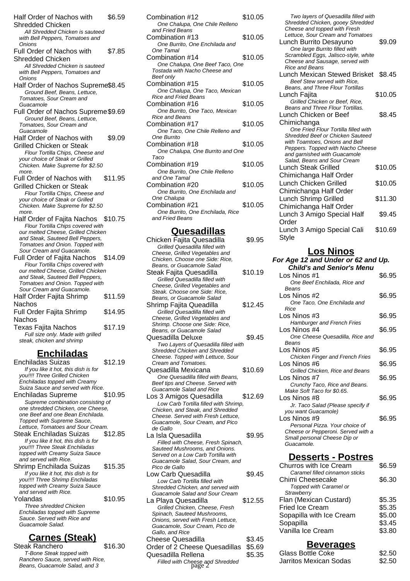Half Order of Nachos with Shredded Chicken \$6.59 All Shredded Chicken is sauteed with Bell Peppers, Tomatoes and **Onions** Full Order of Nachos with Shredded Chicken \$7.85 All Shredded Chicken is sauteed with Bell Peppers, Tomatoes and **Onions** Half Order of Nachos Supreme\$8.45 Ground Beef, Beans, Lettuce, Tomatoes, Sour Cream and **Guacamole** Full Order of Nachos Supreme\$9.69 Ground Beef, Beans, Lettuce, Tomatoes, Sour Cream and Guacamole Half Order of Nachos with Grilled Chicken or Steak \$9.09 Flour Tortilla Chips, Cheese and your choice of Steak or Grilled Chicken. Make Supreme for \$2.50 more. Full Order of Nachos with Grilled Chicken or Steak \$11.95 Flour Tortilla Chips, Cheese and your choice of Steak or Grilled Chicken. Make Supreme for \$2.50 more Half Order of Fajita Nachos \$10.75 Flour Tortilla Chips covered with our melted Cheese, Grilled Chicken and Steak, Sauteed Bell Peppers, Tomatoes and Onion. Topped with Sour Cream and Guacamole. Full Order of Fajita Nachos \$14.09 Flour Tortilla Chips covered with our melted Cheese, Grilled Chicken and Steak, Sauteed Bell Peppers, Tomatoes and Onion. Topped with Sour Cream and Guacamole. Half Order Fajita Shrimp Nachos \$11.59 Full Order Fajita Shrimp Nachos \$14.95 Texas Fajita Nachos \$17.19 Full size only. Made with grilled steak, chicken and shrimp

# **Enchiladas**

Enchiladas Suizas \$12.19 If you like it hot, this dish is for you!!!! Three Grilled Chicken Enchiladas topped with Creamy Suiza Sauce and served with Rice. Enchiladas Supreme \$10.95 Supreme combination consisting of one shredded Chicken, one Cheese, one Beef and one Bean Enchilada. Topped with Supreme Sauce, Lettuce, Tomatoes and Sour Cream. Steak Enchiladas Suizas \$12.85 If you like it hot, this dish is for you!!!! Three Steak Enchiladas topped with Creamy Suiza Sauce and served with Rice. Shrimp Enchilada Suizas \$15.35 If you like it hot, this dish is for you!!!! Three Shrimp Enchiladas topped with Creamy Suiza Sauce and served with Rice. Yolandas **\$10.95** Three shredded Chicken Enchiladas topped with Supreme Sauce. Served with Rice and Guacamole Salad.

# **Carnes (Steak)**

Steak Ranchero \$16.30 T-Bone Steak topped with Ranchero Sauce, served with Rice, Beans, Guacamole Salad, and 3

| Combination #12<br>One Chalupa, One Chile Relleno | \$10.05 |
|---------------------------------------------------|---------|
| and Fried Beans                                   |         |
| Combination #13                                   | \$10.05 |
| One Burrito, One Enchilada and                    |         |
| One Tamal                                         |         |
| Combination #14                                   | \$10.05 |
| One Chalupa, One Beef Taco, One                   |         |
| Tostada with Nacho Cheese and                     |         |
| <b>Beef only</b>                                  |         |
| Combination #15                                   | \$10.05 |
| One Chalupa, One Taco, Mexican                    |         |
| <b>Rice and Fried Beans</b>                       |         |
| Combination #16                                   | \$10.05 |
| One Burrito, One Taco, Mexican                    |         |
| <b>Rice and Beans</b>                             |         |
| Combination #17                                   | \$10.05 |
| One Taco, One Chile Relleno and                   |         |
| One Burrito                                       |         |
| Combination #18                                   | \$10.05 |
| One Chalupa, One Burrito and One                  |         |
| Taco                                              |         |
| Combination #19                                   | \$10.05 |
| One Burrito, One Chile Relleno                    |         |
| and One Tamal                                     |         |
| Combination #20                                   | \$10.05 |
| One Burrito, One Enchilada and                    |         |
| One Chalupa                                       |         |
| Combination #21                                   | \$10.05 |
| One Burrito, One Enchilada, Rice                  |         |
| and Fried Beans                                   |         |
|                                                   |         |
| Quesadillas                                       |         |
| Chicken Fajita Quesadilla                         | \$9.95  |

| Chicken Fajita Quesadilla             | \$9.95  |
|---------------------------------------|---------|
| Grilled Quesadilla filled with        |         |
| Cheese, Grilled Vegetables and        |         |
| Chicken. Choose one Side: Rice,       |         |
| Beans, or Guacamole Salad             |         |
| Steak Fajita Quesadilla               | \$10.19 |
| Grilled Quesadilla filled with        |         |
| Cheese, Grilled Vegetables and        |         |
| Steak. Choose one Side: Rice,         |         |
| Beans, or Guacamole Salad             |         |
| Shrimp Fajita Queadilla               | \$12.45 |
| Grilled Quesadilla filled with        |         |
| Cheese, Grilled Vegetables and        |         |
| Shrimp. Choose one Side: Rice,        |         |
| Beans, or Guacamole Salad             |         |
| Quesadilla Deluxe                     | \$9.45  |
| Two Layers of Quesadilla filled with  |         |
| Shredded Chicken and Shredded         |         |
| Cheese. Topped with Lettuce, Sour     |         |
| Cream and Tomatoes.                   |         |
| Quesadilla Mexicana                   | \$10.69 |
| One Quesadilla filled with Beans,     |         |
| Beef tips and Cheese. Served with     |         |
| <b>Guacamole Salad and Rice</b>       |         |
| Los 3 Amigos Quesadilla               | \$12.69 |
| Low Carb Tortilla filled with Shrimp, |         |
| Chicken, and Steak, and Shredded      |         |
| Cheese. Served with Fresh Lettuce.    |         |
| Guacamole, Sour Cream, and Pico       |         |
| de Gallo                              |         |
| La Isla Quesadilla                    | \$9.95  |
| Filled with Cheese, Fresh Spinach,    |         |
| Sauteed Mushrooms, and Onions.        |         |
| Served on a Low Carb Tortilla with    |         |
| Guacamole Salad, Sour Cream, and      |         |
| Pico de Gallo                         |         |
| Low Carb Quesadilla                   | \$9.45  |
| Low Carb Tortilla filled with         |         |
| Shredded Chicken, and served with     |         |
| Guacamole Salad and Sour Cream        |         |
| La Playa Quesadilla                   | \$12.55 |
| Grilled Chicken, Cheese, Fresh        |         |
| Spinach, Sauteed Mushrooms,           |         |
| Onions, served with Fresh Lettuce,    |         |
| Guacamole, Sour Cream, Pico de        |         |
| Gallo, and Rice                       |         |
|                                       |         |

Cheese Quesadilla  $$3.45$ Order of 2 Cheese Quesadillas \$5.69 Quesadilla Rellena  $$5.35$ Filled with Cheese and Shredded<br>
page 2<sup>d</sup> S2.50

Two layers of Quesadilla filled with Shredded Chicken, gooey Shredded Cheese and topped with Fresh Lettuce, Sour Cream and Tomatoes Lunch Burrito Desayuno \$9.09 One large Burrito filled with Scrambled Eggs, Jalisco-style, white Cheese and Sausage, served with Rice and Beans Lunch Mexican Stewed Brisket \$8.45 Beef Stew served with Rice, Beans, and Three Flour Tortillas Lunch Fajita **\$10.05** Grilled Chicken or Beef, Rice, Beans and Three Flour Tortillas. Lunch Chicken or Beef Chimichanga \$8.45 One Fried Flour Tortilla filled with Shredded Beef or Chicken Sauteed with Toamtoes, Onions and Bell Peppers. Topped with Nacho Cheese and garnished with Guacamole Salad, Beans and Sour Cream Lunch Steak Grilled Chimichanga Half Order \$10.05 Lunch Chicken Grilled Chimichanga Half Order \$10.05 Lunch Shrimp Grilled Chimichanga Half Order \$11.30 Lunch 3 Amigo Special Half Order \$9.45 Lunch 3 Amigo Special Cali Style \$10.69

### **Los Ninos**

| For Age 12 and Under or 62 and Up. |        |
|------------------------------------|--------|
| <b>Child's and Senior's Menu</b>   |        |
| Los Ninos #1                       | \$6.95 |
| One Beef Enchilada, Rice and       |        |
| Beans                              |        |
| Los Ninos #2                       | \$6.95 |
| One Taco, One Enchilada and        |        |
| Rice                               |        |
| Los Ninos #3                       | \$6.95 |
| <b>Hamburger and French Fries</b>  |        |
| Los Ninos #4                       | \$6.95 |
| One Cheese Quesadilla, Rice and    |        |
| Beans                              |        |
| Los Ninos #5                       | \$6.95 |
| Chicken Finger and French Fries    |        |
| Los Ninos #6                       | \$6.95 |
| Grilled Chicken, Rice and Beans    |        |
| Los Ninos #7                       | \$6.95 |
| Crunchy Taco, Rice and Beans.      |        |
| Make Soft Taco for \$0.65.         |        |
| Los Ninos #8                       | \$6.95 |
| Jr. Taco Salad (Please specify if  |        |
| you want Guacamole)                |        |
| Los Ninos #9                       | \$6.95 |
| Personal Pizza. Your choice of     |        |
| Cheese or Pepperoni. Served with a |        |
| Small personal Cheese Dip or       |        |
| Guacamole.                         |        |

## **Desserts - Postres**

| \$6.59 |
|--------|
|        |
| \$6.30 |
|        |
|        |
| \$5.35 |
| \$5.35 |
| \$5.00 |
| \$3.45 |
| \$3.80 |
|        |
|        |

# **Beverages** Glass Bottle Coke \$2.50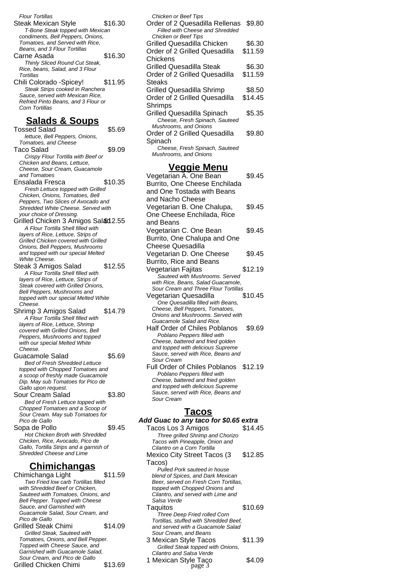| Flour Tortillas<br><b>Steak Mexican Style</b><br>\$16.30<br>T-Bone Steak topped with Mexican               |
|------------------------------------------------------------------------------------------------------------|
| condiments, Bell Peppers, Onions,<br>Tomatoes, and Served with Rice,<br>Beans, and 3 Flour Tortillas       |
| \$16.30<br>Carne Asada<br>Thinly Sliced Round Cut Steak,                                                   |
| Rice, beans, Salad, and 3 Flour<br>Tortillas<br>\$11.95<br>Chili Colorado - Spicey!                        |
| Steak Strips cooked in Ranchera<br>Sauce, served with Mexican Rice,<br>Refried Pinto Beans, and 3 Flour or |
| Corn Tortillas                                                                                             |
| <u>Salads &amp; Soups</u><br>Tossed Salad<br>\$5.69                                                        |
| lettuce, Bell Peppers, Onions,<br>Tomatoes, and Cheese                                                     |
| Taco Salad<br>\$9.09                                                                                       |
| Crispy Flour Tortilla with Beef or<br>Chicken and Beans, Lettuce,                                          |
| Cheese, Sour Cream, Guacamole<br>and Tomatoes                                                              |
| \$10.35<br>Ensalada Fresca                                                                                 |
| Fresh Lettuce topped with Grilled<br>Chicken, Onions, Tomatoes, Bell                                       |
| Peppers, Two Slices of Avocado and<br>Shredded White Cheese. Served with                                   |
| your choice of Dressing.<br>Grilled Chicken 3 Amigos Salad 2.55                                            |
| A Flour Tortilla Shell filled with                                                                         |
| layers of Rice, Lettuce, Strips of<br>Grilled Chicken covered with Grilled                                 |
| Onions, Bell Peppers, Mushrooms<br>and topped with our special Melted                                      |
| White Cheese.<br>Steak 3 Amigos Salad<br>\$12.55                                                           |
| A Flour Tortilla Shell filled with                                                                         |
| layers of Rice, Lettuce, Strips of<br>Steak covered with Grilled Onions.                                   |
| Bell Peppers, Mushrooms and<br>topped with our special Melted White                                        |
| Cheese.<br>\$14.79                                                                                         |
| Shrimp 3 Amigos Salad<br>A Flour Tortilla Shell filled with                                                |
| layers of Rice, Lettuce, Shrimp<br>covered with Grilled Onions, Bell                                       |
| Peppers, Mushrooms and topped<br>with our special Melted White                                             |
| Cheese.<br>Guacamole Salad<br>\$5.69                                                                       |
| <b>Bed of Fresh Shredded Lettuce</b>                                                                       |
| topped with Chopped Tomatoes and<br>a scoop of freshly made Guacamole                                      |
| Dip. May sub Tomatoes for Pico de<br>Gallo upon request.                                                   |
| Sour Cream Salad<br>\$3.80                                                                                 |
| Bed of Fresh Lettuce topped with<br>Chopped Tomatoes and a Scoop of                                        |
| Sour Cream. May sub Tomatoes for<br>Pico de Gallo                                                          |
| Sopa de Pollo<br>\$9.45<br>Hot Chicken Broth with Shredded                                                 |
| Chicken, Rice, Avocado, Pico de                                                                            |
| Gallo, Tortilla Strips and a garnish of<br>Shredded Cheese and Lime                                        |
| <u>Chimichangas</u>                                                                                        |
| Chimichanga Light<br>\$11.59                                                                               |
| Two Fried low carb Tortillas filled<br>with Shredded Beef or Chicken,                                      |

Sauteed with Tomatoes, Onions, and Bell Pepper. Topped with Cheese Sauce, and Garnished with Guacamole Salad, Sour Cream, and Pico de Gallo Grilled Steak Chimi \$14.09 Grilled Steak, Sauteed with Tomatoes, Onions, and Bell Pepper. Topped with Cheese Sauce, and Garnished with Guacamole Salad, Sour Cream, and Pico de Gallo Grilled Chicken Chimi \$13.69

| Grilled Quesadilla Chicken<br>Order of 2 Grilled Quesadilla<br>Chickens                                                                                                                                                                               | \$6.30<br>\$11.59 |
|-------------------------------------------------------------------------------------------------------------------------------------------------------------------------------------------------------------------------------------------------------|-------------------|
| <b>Grilled Quesadilla Steak</b><br>Order of 2 Grilled Quesadilla<br>Steaks                                                                                                                                                                            | \$6.30<br>\$11.59 |
| <b>Grilled Quesadilla Shrimp</b><br>Order of 2 Grilled Quesadilla<br>Shrimps                                                                                                                                                                          | \$8.50<br>\$14.45 |
| Grilled Quesadilla Spinach<br>Cheese, Fresh Spinach, Sauteed<br>Mushrooms, and Onions                                                                                                                                                                 | \$5.35            |
| Order of 2 Grilled Quesadilla<br>Spinach                                                                                                                                                                                                              | \$9.80            |
| Cheese, Fresh Spinach, Sauteed<br>Mushrooms, and Onions                                                                                                                                                                                               |                   |
| <b>Veggie Menu</b>                                                                                                                                                                                                                                    |                   |
| Vegetarian A. One Bean<br>Burrito, One Cheese Enchilada<br>and One Tostada with Beans<br>and Nacho Cheese                                                                                                                                             | \$9.45            |
| Vegetarian B. One Chalupa,<br>One Cheese Enchilada, Rice<br>and Beans                                                                                                                                                                                 | \$9.45            |
| Vegetarian C. One Bean<br>Burrito, One Chalupa and One<br><b>Cheese Quesadilla</b>                                                                                                                                                                    | \$9.45            |
| Vegetarian D. One Cheese<br>Burrito, Rice and Beans                                                                                                                                                                                                   | \$9.45            |
| Vegetarian Fajitas<br>Sauteed with Mushrooms. Served<br>with Rice, Beans, Salad Guacamole,                                                                                                                                                            | \$12.19           |
| Sour Cream and Three Flour Tortillas<br>Vegetarian Quesadilla<br>One Quesadilla filled with Beans,<br>Cheese, Bell Peppers, Tomatoes,                                                                                                                 | \$10.45           |
| Onions and Mushrooms. Served with<br>Guacamole Salad and Rice.<br><b>Half Order of Chiles Poblanos</b><br>Poblano Peppers filled with<br>Cheese, battered and fried golden<br>and topped with delicious Supreme<br>Sauce, served with Rice, Beans and | \$9.69            |
| Sour Cream<br>Full Order of Chiles Poblanos<br>Poblano Peppers filled with<br>Cheese, battered and fried golden<br>and topped with delicious Supreme<br>Sauce, served with Rice, Beans and<br>Sour Cream                                              | \$12.19           |
| <b>Tacos</b>                                                                                                                                                                                                                                          |                   |
| Add Guac to any taco for \$0.65 extra                                                                                                                                                                                                                 |                   |
| Tacos Los 3 Amigos<br>Three grilled Shrimp and Chorizo<br>Tacos with Pineapple, Onion and<br>Cilantro on a Corn Tortilla                                                                                                                              | \$14.45           |
| Mexico City Street Tacos (3<br>Tacos)<br>Pulled Pork sauteed in house                                                                                                                                                                                 | \$12.85           |
| blend of Spices, and Dark Mexican<br>Beer, served on Fresh Corn Tortillas,<br>topped with Chopped Onions and<br>Cilantro, and served with Lime and<br>Salsa Verde                                                                                     |                   |
| Taquitos                                                                                                                                                                                                                                              | \$10.69           |
| Three Deep Fried rolled Corn<br>Tortillas, stuffed with Shredded Beef,<br>and served with a Guacamole Salad<br>Sour Cream, and Beans                                                                                                                  |                   |
| 3 Mexican Style Tacos<br>Grilled Steak topped with Onions,                                                                                                                                                                                            | \$11.39           |
| Cilantro and Salsa Verde<br>1 Mexican Style Taço<br>page 3                                                                                                                                                                                            | \$4.09            |
|                                                                                                                                                                                                                                                       |                   |

Chicken or Beef Tips

Chicken or Beef Tips

Order of 2 Quesadilla Rellenas \$9.80 Filled with Cheese and Shredded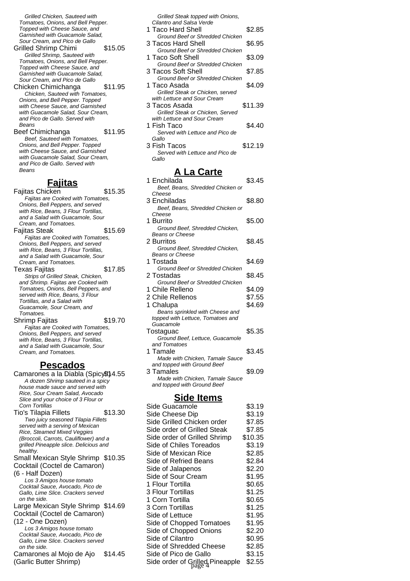Grilled Chicken, Sauteed with Tomatoes, Onions, and Bell Pepper. Topped with Cheese Sauce, and Garnished with Guacamole Salad, Sour Cream, and Pico de Gallo

- Grilled Shrimp Chimi \$15.05 Grilled Shrimp, Sauteed with Tomatoes, Onions, and Bell Pepper. Topped with Cheese Sauce, and Garnished with Guacamole Salad, Sour Cream, and Pico de Gallo
- Chicken Chimichanga \$11.95 Chicken, Sauteed with Tomatoes, Onions, and Bell Pepper. Topped with Cheese Sauce, and Garnished with Guacamole Salad, Sour Cream, and Pico de Gallo. Served with Beans
- Beef Chimichanga \$11.95 Beef, Sauteed with Tomatoes, Onions, and Bell Pepper. Topped with Cheese Sauce, and Garnished with Guacamole Salad, Sour Cream, and Pico de Gallo. Served with Beans

### **Fajitas**

Fajitas Chicken **\$15.35** Fajitas are Cooked with Tomatoes, Onions, Bell Peppers, and served with Rice, Beans, 3 Flour Tortillas, and a Salad with Guacamole, Sour Cream, and Tomatoes. Fajitas Steak **\$15.69** Fajitas are Cooked with Tomatoes, Onions, Bell Peppers, and served with Rice, Beans, 3 Flour Tortillas, and a Salad with Guacamole, Sour Cream, and Tomatoes. Texas Faiitas **\$17.85** Strips of Grilled Steak, Chicken, and Shrimp. Fajitas are Cooked with Tomatoes, Onions, Bell Peppers, and served with Rice, Beans, 3 Flour Tortillas, and a Salad with Guacamole, Sour Cream, and Tomatoes. Shrimp Fajitas \$19.70 Fajitas are Cooked with Tomatoes, Onions, Bell Peppers, and served

with Rice, Beans, 3 Flour Tortillas, and a Salad with Guacamole, Sour Cream, and Tomatoes.

## **Pescados**

Camarones a la Diabla (Spicy) 4.55 A dozen Shrimp sauteed in a spicy house made sauce and served with Rice, Sour Cream Salad, Avocado Slice and your choice of 3 Flour or Corn Tortillas Tio's Tilapia Fillets \$13.30 Two juicy seasoned Tilapia Fillets served with a serving of Mexican Rice, Steamed Mixed Veggies (Broccoli, Carrots, Cauliflower) and a grilled Pineapple slice. Delicious and healthy. Small Mexican Style Shrimp \$10.35 Cocktail (Coctel de Camaron) (6 - Half Dozen) Los 3 Amigos house tomato Cocktail Sauce, Avocado, Pico de Gallo, Lime Slice. Crackers served on the side. Large Mexican Style Shrimp \$14.69 Cocktail (Coctel de Camaron) (12 - One Dozen) Los 3 Amigos house tomato Cocktail Sauce, Avocado, Pico de Gallo, Lime Slice. Crackers served on the side. Camarones al Mojo de Ajo (Garlic Butter Shrimp) \$14.45

|    | Grilled Steak topped with Onions,                         |         |
|----|-----------------------------------------------------------|---------|
|    | Cilantro and Salsa Verde                                  |         |
|    | 1 Taco Hard Shell                                         | \$2.85  |
|    | Ground Beef or Shredded Chicken                           |         |
|    | 3 Tacos Hard Shell                                        | \$6.95  |
|    | Ground Beef or Shredded Chicken<br><b>Taco Soft Shell</b> |         |
| 1  | <b>Ground Beef or Shredded Chicken</b>                    | \$3.09  |
|    | 3 Tacos Soft Shell                                        | \$7.85  |
|    | Ground Beef or Shredded Chicken                           |         |
|    | 1 Taco Asada                                              | \$4.09  |
|    | Grilled Steak or Chicken, served                          |         |
|    | with Lettuce and Sour Cream                               |         |
|    | 3 Tacos Asada                                             | \$11.39 |
|    | Grilled Steak or Chicken, Served                          |         |
|    | with Lettuce and Sour Cream                               |         |
|    | 1 Fish Taco                                               | \$4.40  |
|    | Served with Lettuce and Pico de                           |         |
|    | Gallo                                                     |         |
|    | 3 Fish Tacos                                              | \$12.19 |
|    | Served with Lettuce and Pico de                           |         |
|    | Gallo                                                     |         |
|    | <u>A La Carte</u>                                         |         |
|    |                                                           |         |
|    | 1 Enchilada                                               | \$3.45  |
|    | Beef, Beans, Shredded Chicken or<br>Cheese                |         |
|    | 3 Enchiladas                                              | \$8.80  |
|    | Beef, Beans, Shredded Chicken or                          |         |
|    | Cheese                                                    |         |
|    | 1 Burrito                                                 | \$5.00  |
|    | Ground Beef, Shredded Chicken,                            |         |
|    | <b>Beans or Cheese</b>                                    |         |
|    | 2 Burritos                                                | \$8.45  |
|    | Ground Beef, Shredded Chicken,                            |         |
|    | <b>Beans or Cheese</b>                                    |         |
|    | 1 Tostada                                                 | \$4.69  |
|    | Ground Beef or Shredded Chicken                           |         |
|    | 2 Tostadas                                                | \$8.45  |
|    | Ground Beef or Shredded Chicken                           |         |
| 1. | Chile Relleno                                             | \$4.09  |
|    | 2 Chile Rellenos                                          | \$7.55  |
|    | 1 Chalupa                                                 | \$4.69  |
|    | Beans sprinkled with Cheese and                           |         |
|    | topped with Lettuce, Tomatoes and<br>Guacamole            |         |
|    | Tostaguac                                                 | \$5.35  |
|    | Ground Beef, Lettuce, Guacamole                           |         |
|    | and Tomatoes                                              |         |
|    | 1 Tamale                                                  | \$3.45  |
|    | Made with Chicken, Tamale Sauce                           |         |
|    | and topped with Ground Beef                               |         |
|    | 3 Tamales                                                 | \$9.09  |
|    | Made with Chicken, Tamale Sauce                           |         |
|    | and topped with Ground Beef                               |         |

# **Side Items**

| Side Guacamole                  | \$3.19  |
|---------------------------------|---------|
| Side Cheese Dip                 | \$3.19  |
| Side Grilled Chicken order      | \$7.85  |
| Side order of Grilled Steak     | \$7.85  |
| Side order of Grilled Shrimp    | \$10.35 |
| Side of Chiles Toreados         | \$3.19  |
| Side of Mexican Rice            | \$2.85  |
| Side of Refried Beans           | \$2.84  |
| Side of Jalapenos               | \$2.20  |
| Side of Sour Cream              | \$1.95  |
| 1 Flour Tortilla                | \$0.65  |
| 3 Flour Tortillas               | \$1.25  |
| 1 Corn Tortilla                 | \$0.65  |
| 3 Corn Tortillas                | \$1.25  |
| Side of Lettuce                 | \$1.95  |
| Side of Chopped Tomatoes        | \$1.95  |
| Side of Chopped Onions          | \$2.20  |
| Side of Cilantro                | \$0.95  |
| Side of Shredded Cheese         | \$2.85  |
| Side of Pico de Gallo           | \$3.15  |
| Side order of Grilled Pineapple | \$2.55  |